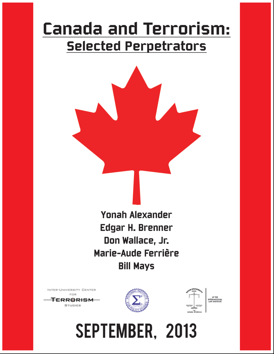# **Canada and Terrorism: Selected Perpetrators**

**Yonah Alexander** Edgar H. Brenner Don Wallace, Jr. Marie-Aude Ferrière **Bill Mays** 

INTER-UNIVERSITY CENTER FOR







SEPTEMBER, 2013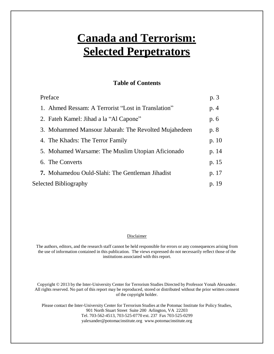## **Canada and Terrorism: Selected Perpetrators**

#### **Table of Contents**

|                       | Preface                                                | p. 3  |
|-----------------------|--------------------------------------------------------|-------|
|                       | 1. Ahmed Ressam: A Terrorist "Lost in Translation"     | p. 4  |
|                       | 2. Fateh Kamel: Jihad a la "Al Capone"                 | p. 6  |
|                       | 3. Mohammed Mansour Jabarah: The Revolted Mujahedeen   | p. 8  |
|                       | 4. The Khadrs: The Terror Family                       | p. 10 |
|                       | 5. Mohamed Warsame: The Muslim Utopian Aficionado      | p. 14 |
|                       | 6. The Converts                                        | p. 15 |
|                       | <b>7.</b> Mohamedou Ould-Slahi: The Gentleman Jihadist | p. 17 |
| Selected Bibliography |                                                        | p. 19 |

#### **Disclaimer**

The authors, editors, and the research staff cannot be held responsible for errors or any consequences arising from the use of information contained in this publication. The views expressed do not necessarily reflect those of the institutions associated with this report.

Copyright © 2013 by the Inter-University Center for Terrorism Studies Directed by Professor Yonah Alexander. All rights reserved. No part of this report may be reproduced, stored or distributed without the prior written consent of the copyright holder.

Please contact the Inter-University Center for Terrorism Studies at the Potomac Institute for Policy Studies, 901 North Stuart Street Suite 200 Arlington, VA 22203 Tel. 703-562-4513, 703-525-0770 ext. 237 Fax 703-525-0299 [yalexander@potomacinstitute.org www.potomacinstitute.org](mailto:yalexander@potomacinstitute.org)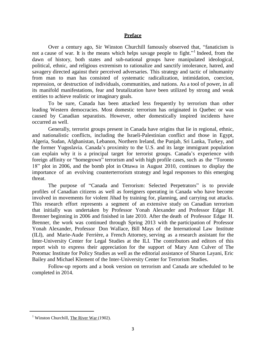#### **Preface**

Over a century ago, Sir Winston Churchill famously observed that, "fanaticism is not a cause of war. It is the means which helps savage people to fight."<sup>1</sup> Indeed, from the dawn of history, both states and sub-national groups have manipulated ideological, political, ethnic, and religious extremism to rationalize and sanctify intolerance, hatred, and savagery directed against their perceived adversaries. This strategy and tactic of inhumanity from man to man has consisted of systematic radicalization, intimidation, coercion, repression, or destruction of individuals, communities, and nations. As a tool of power, in all its manifold manifestations, fear and brutalization have been utilized by strong and weak entities to achieve realistic or imaginary goals.

To be sure, Canada has been attacked less frequently by terrorism than other leading Western democracies. Most domestic terrorism has originated in Quebec or was caused by Canadian separatists. However, other domestically inspired incidents have occurred as well.

Generally, terrorist groups present in Canada have origins that lie in regional, ethnic, and nationalistic conflicts, including the Israeli-Palestinian conflict and those in Egypt, Algeria, Sudan, Afghanistan, Lebanon, Northern Ireland, the Punjab, Sri Lanka, Turkey, and the former Yugoslavia. Canada's proximity to the U.S. and its large immigrant population can explain why it is a principal target for terrorist groups. Canada's experience with foreign affinity or "homegrown" terrorism and with high profile cases, such as the "Toronto 18" plot in 2006, and the bomb plot in Ottawa in August 2010, continues to display the importance of an evolving counterterrorism strategy and legal responses to this emerging threat.

The purpose of "Canada and Terrorism: Selected Perpetrators" is to provide profiles of Canadian citizens as well as foreigners operating in Canada who have become involved in movements for violent Jihad by training for, planning, and carrying out attacks. This research effort represents a segment of an extensive study on Canadian terrorism that initially was undertaken by Professor Yonah Alexander and Professor Edgar H. Brenner beginning in 2006 and finished in late 2010. After the death of Professor Edgar H. Brenner, the work was continued through Spring 2013 with the participation of Professor Yonah Alexander, Professor Don Wallace, Bill Mays of the International Law Institute (ILI), and Marie-Aude Ferrière, a French Attorney, serving as a research assistant for the Inter-University Center for Legal Studies at the ILI. The contributors and editors of this report wish to express their appreciation for the support of Mary Ann Culver of The Potomac Institute for Policy Studies as well as the editorial assistance of Sharon Layani, Eric Bailey and Michael Klement of the Inter-University Center for Terrorism Studies.

Follow-up reports and a book version on terrorism and Canada are scheduled to be completed in 2014.

<sup>&</sup>lt;sup>1</sup> Winston Churchill, The River War (1902).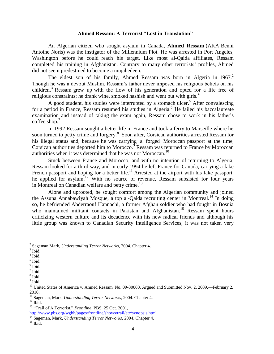#### **Ahmed Ressam: A Terrorist "Lost in Translation"**

An Algerian citizen who sought asylum in Canada, **Ahmed Ressam** (AKA Benni Antoine Noris) was the instigator of the Millennium Plot. He was arrested in Port Angeles, Washington before he could reach his target. Like most al-Qaida affiliates, Ressam completed his training in Afghanistan. Contrary to many other terrorists' profiles, Ahmed did not seem predestined to become a mujahedeen.

The eldest son of his family, Ahmed Ressam was born in Algeria in 1967.<sup>2</sup> Though he was a devout Muslim, Ressam's father never imposed his religious beliefs on his children.<sup>3</sup> Ressam grew up with the flow of his generation and opted for a life free of reli[gio](#page-4-0)us constraints; he drank wine, smoked hashish and went out with girls.<sup>4</sup>

A good student, his studies were interrupted by a stomach ulcer.<sup>5</sup> After convalescing for a period in France, Ressam resumed his studies in Algeria.<sup>6</sup> He failed his baccalaureate examination and instead of taking the exam again, Ressam chose to work in his father's coffee shop. $'$ 

In 1992 Ressam sought a better life in France and took a ferry to Marseille where he soon turned to petty crime and forgery.<sup>8</sup> Soon after, Corsican authorities arrested Ressam for his illegal status and, because he was carrying a forged Moroccan passport at the time, Corsican authorities deported him to Morocco.<sup>9</sup> Ressam was returned to France by Moroccan authorities when it was determined that he was not Moroccan.<sup>10</sup>

Stuck between France and Morocco, and with no intention of returning to Algeria, Ressam looked for a third way, and in early [1994](#page-4-0) he left France for Canada, carrying a fake French passport and hoping for a better life.<sup>11</sup> Arrested at the airport with his fake passport, he applied for asylum.<sup>12</sup> With no source of [re](#page-4-0)venue, Ressam subsisted for four years in Montreal on Canadian welfare and petty crime.<sup>13</sup>

Alone and uprooted, he sought comfort among the Algerian community and joined the Assuna Annabawiyah Mosque, a top al-Qaida recruiting center in Montreal.<sup>14</sup> In doing so, he befriended Abderraouf Hannachi, a former Afghan soldier who had fought in Bosnia who maintained militant contacts in Pakistan and Afghanistan.<sup>15</sup> Ressam spent hours criticizing western culture and its decadence with his new radical friends and although his little group was known to Canadian Security Intelligence Services, it was not taken very

 2 Sageman Mark, *Understanding Terror Networks*, 2004. Chapter 4.

<sup>&</sup>lt;sup>3</sup> Ibid.

<sup>4</sup> Ibid.

<sup>5</sup> Ibid.

<sup>6</sup> Ibid.

 $<sup>7</sup>$  Ibid.</sup>

<sup>8</sup> Ibid.

<sup>&</sup>lt;sup>9</sup> Ibid.

 $10$  United States of America v. Ahmed Ressam, No. 09-30000, Argued and Submitted Nov. 2, 2009.—February 2, 2010.

<sup>11</sup> Sageman, Mark, *Understanding Terror Networks,* 2004. Chapter 4.

 $^{12}$  Ibid.

<sup>13</sup> "Trail of A Terrorist." *Frontline*. PBS. 25 Oct. 2001,

<http://www.pbs.org/wgbh/pages/frontline/shows/trail/etc/synopsis.html>

<sup>14</sup> Sageman, Mark, *Understanding Terror Networks,* 2004. Chapter 4.

 $15$  Ibid.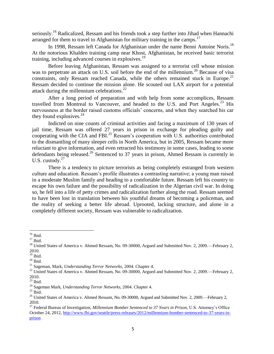seriously.<sup>16</sup> Radicalized, Ressam and his friends took a step further into Jihad when Hannachi arranged for them to travel to Afghanistan for military training in the camps.<sup>[17](#page-4-0)</sup>

In 1998, Ressam left Canada for Afghanistan under the name Benni Antoine Noris.<sup>[18](#page-4-0)</sup> At the notorious Khalden training camp near Khost, Afghanistan, he received basic terrorist training, including advanced courses in explosives.<sup>[19](#page-4-0)</sup>

<span id="page-4-0"></span>Before leaving Afghanistan, Ressam was assigned to a terrorist cell whose mission was to perpetrate an attack on U.S. soil before the end of the millennium.<sup>20</sup> Because of visa constraints, only Ressam reached Canada, while the others remained stuck in Europe.<sup>21</sup> Ressam decided to continue the mission alone. He scouted out LAX airport for a potential attack during the millennium celebrations. $^{22}$ 

After a long period of preparation and with help from some accomplices, Ressam travelled from Montreal to Vancouver, and headed to the U.S. and Port Angeles.<sup>23</sup> His nervousness at the border raised customs officials' concerns, and when they searched his car they found explosives.  $24$ 

Indicted on nine counts of criminal activities and facing a maximum of 130 years of jail time, Ressam was offered 27 years in prison in exchange for pleading guilty and cooperating with the CIA and FBI.<sup>25</sup> Ressam's cooperation with U.S. authorities contributed to the dismantling of many sleeper cells in North America, but in 2005, Ressam became more reluctant to give information, and even retracted his testimony in some cases, leading to some defendants being released.<sup>26</sup> Sentenced to 37 years in prison, Ahmed Ressam is currently in U.S. custody. $27$ 

There is a tendency to picture terrorists as being completely estranged from western culture and education. Ressam's profile illustrates a contrasting narrative; a young man raised in a moderate Muslim family and heading to a comfortable future. Ressam left his country to escape his own failure and the possibility of radicalization in the Algerian civil war. In doing so, he fell into a life of petty crimes and radicalization further along the road. Ressam seemed to have been lost in translation between his youthful dreams of becoming a policeman, and the reality of seeking a better life abroad. Uprooted, lacking structure, and alone in a completely different society, Ressam was vulnerable to radicalization.

 $16$  Ibid.

 $17$  Ibid.

<sup>&</sup>lt;sup>18</sup> United States of America v. Ahmed Ressam, No. 09-30000, Argued and Submitted Nov. 2, 2009.—February 2, 2010.

 $19$  Ibid.

 $\rm ^{20}$  Ibid.

<sup>21</sup> Sageman, Mark, *Understanding Terror Networks,* 2004. Chapter 4.

<sup>&</sup>lt;sup>22</sup> United States of America v. Ahmed Ressam, No. 09-30000, Argued and Submitted Nov. 2, 2009.—February 2, 2010.

 $23$  Ibid.

<sup>24</sup> Sageman Mark, *Understanding Terror Networks*, 2004. Chapter 4.

 $^{\rm 25}$  Ibid.

<sup>&</sup>lt;sup>26</sup> United States of America v. Ahmed Ressam, No. 09-30000, Argued and Submitted Nov. 2, 2009.—February 2, 2010.

<sup>27</sup> Federal Bureau of Investigation, *Millennium Bomber Sentenced to 37 Years in Prison,* U.S. Attorney's Office October 24, 2012[, http://www.fbi.gov/seattle/press-releases/2012/millennium-bomber-sentenced-to-37-years-in](http://www.fbi.gov/seattle/press-releases/2012/millennium-bomber-sentenced-to-37-years-in-prison)[prison](http://www.fbi.gov/seattle/press-releases/2012/millennium-bomber-sentenced-to-37-years-in-prison)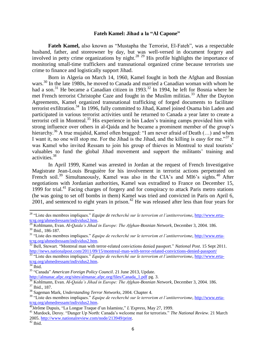#### **Fateh Kamel: Jihad a la "Al Capone"**

**Fateh Kamel,** also known as "Mustapha the Terrorist, El-Fateh", was a respectable husband, father, and storeowner by day, but was well-versed in document forgery and involved in petty crime organizations by night.<sup>28 29</sup> His profile highlights the importance of monitoring small-time traffickers and transnational organized crime because terrorists use crime to finance and logistically support Jihad.

Born in Algeria on March 14, 1960, Kamel fought in both the Afghan and Bosnian wars.<sup>30</sup> In the late 1980s, he moved to Canada and married a Canadian woman with whom he had a son.<sup>31</sup> He became a Canadian citizen in 1993.<sup>32</sup> In 1994, he left for Bosnia where he met French terrorist Christophe Caze and fought in the Muslim militias.<sup>33</sup> After the Dayton Agreements, Kamel organized transnational trafficking of forged documents to facilitate terrorist exfiltration.<sup>34</sup> In 1996, fully committed to Jihad, Kamel joined Osama bin Laden and participated in various terrorist activities until he returned to Canada a year later to create a terrorist cell in Montreal.<sup>35</sup> His experience in bin Laden's training camps provided him with strong influence over others in al-Qaida and he became a prominent member of the group's hierarchy.<sup>36</sup> A true mujahid, Kamel often bragged: "I am never afraid of Death  $(...)$  and when I want it, no one will stop me. For the Jihad is the Jihad, and the killing is easy for me."<sup>37</sup> It was Kamel who invited Ressam to join his group of thieves in Montreal to steal tourists' valuables to fund the global Jihad movement and support the militants' training and activities.<sup>38</sup>

In April 1999, Kamel was arrested in Jordan at the request of French Investigative Magistrate Jean-Louis Bruguière for his involvement in terrorist actions perpetrated on French soil.<sup>39</sup> Simultaneously, Kamel was also in the CIA's and MI6's sights.<sup>40</sup> After negotiations with Jordanian authorities, Kamel was extradited to France on December 15, 1999 for trial.<sup>41</sup> Facing charges of forgery and for conspiracy to attack Paris metro stations (he was going to set off bombs in them) Kamel was tried and convicted in Paris on April 6, 2001, and sentenced to eight years in prison.<sup>42</sup> He was released after less than four years for

l

<sup>&</sup>lt;sup>28</sup> "Liste des membres impliques." *Equipe de recherché sur le terrorism et l'antiterrorisme*, [http://www.erta](http://www.erta-tcrg.org/ahmedressam/individus2.htm)[tcrg.org/ahmedressam/individus2.htm.](http://www.erta-tcrg.org/ahmedressam/individus2.htm)

<sup>&</sup>lt;sup>29</sup> Kohlmann, Evan. *Al-Qaida's Jihad in Europe: The Afghan-Bosnian Network*, December 3, 2004. 186. <sup>30</sup> Ibid., 186-187.

<sup>&</sup>lt;sup>31</sup> "Liste des membres impliques." *Equipe de recherché sur le terrorism et l'antiterrorisme*, [http://www.erta](http://www.erta-tcrg.org/ahmedressam/individus2.htm)[tcrg.org/ahmedressam/individus2.htm.](http://www.erta-tcrg.org/ahmedressam/individus2.htm)

<sup>&</sup>lt;sup>32</sup> Bell, Stewart. "Montreal man with terror-related convictions denied passport." *National Post*. 15 Sept 2011. <http://news.nationalpost.com/2011/09/15/montreal-man-with-terror-related-convictions-denied-passport/>

<sup>&</sup>lt;sup>33 "Liste des membres impliques." *Equipe de recherché sur le terrorism et l'antiterrorisme*, http://www.erta-</sup> [tcrg.org/ahmedressam/individus2.htm.](http://www.erta-tcrg.org/ahmedressam/individus2.htm)

 $34$  Ibid.

<sup>35</sup> "Canada" *American Foreign Policy Council*. 21 June 2013, Update.

[http://almanac.afpc.org/sites/almanac.afpc.org/files/Canada\\_1.pdf](http://almanac.afpc.org/sites/almanac.afpc.org/files/Canada_1.pdf) pg. 3.

<sup>36</sup> Kohlmann, Evan. *Al-Qaida's Jihad in Europe: The Afghan-Bosnian Network,* December 3, 2004. 186. <sup>37</sup> Ibid., 187.

<sup>38</sup> Sageman Mark, *Understanding Terror Networks*, 2004. Chapter 4.

<sup>39</sup> "Liste des membres impliques." *Equipe de recherché sur le terrorism et l'antiterrorisme*, [http://www.erta](http://www.erta-tcrg.org/ahmedressam/individus2.htm)[tcrg.org/ahmedressam/individus2.htm.](http://www.erta-tcrg.org/ahmedressam/individus2.htm)

<sup>40</sup>Jérôme Dupuis, "La Longue Traque d'un Islamiste," *L'Express*, May 27, 1999.

<sup>41</sup> Murdock, Deroy. "Danger Up North: Canada's welcome mat for terrorists." *The National Review*. 21 March 2005. [http://www.nationalreview.com/node/213949/print.](http://www.nationalreview.com/node/213949/print)

 $42$  Ibid.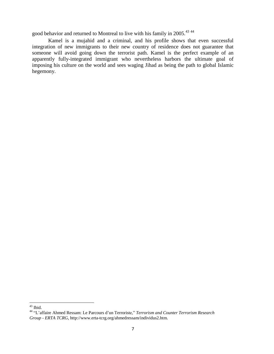good behavior and returned to Montreal to live with his family in 2005.<sup>43 44</sup>

Kamel is a mujahid and a criminal, and his profile shows that even successful integration of new immigrants to their new country of residence does not guarantee that someone will avoid going down the terrorist path. Kamel is the perfect example of an apparently fully-integrated immigrant who nevertheless harbors the ultimate goal of imposing his culture on the world and sees waging Jihad as being the path to global Islamic hegemony.

 $\overline{a}$  $43$  Ibid.

<sup>44</sup> "L'affaire Ahmed Ressam: Le Parcours d'un Terroriste," *Terrorism and Counter Terrorism Research Group - ERTA TCRG*[, http://www.erta-tcrg.org/ahmedressam/individus2.htm.](http://www.erta-tcrg.org/ahmedressam/individus2.htm)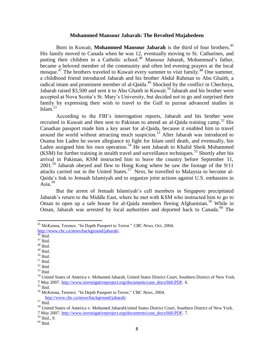#### **Mohammed Mansour Jabarah: The Revolted Mujahedeen**

Born in Kuwait, **Mohammed Mansour Jabarah** is the third of four brothers.<sup>45</sup> His family moved to Canada when he was 12, eventually moving to St. Catharines, and putting their children in a Catholic school.<sup>46</sup> Mansour Jabarah, Mohammed's father, became a beloved member of the community and often led evening prayers at the local mosque.<sup>47</sup> The brothers traveled to Kuwait every summer to visit family.<sup>48</sup> One summer, a childhood friend introduced Jabarah and his brother Abdul Rahman to Abu Ghaith, a radical imam and prominent member of al-Qaida.<sup>49</sup> Shocked by the conflict in Chechnya, Jabarah raised \$3,500 and sent it to Abu Ghaith in Kuwait.<sup>50</sup> Jabarah and his brother were accepted at Nova Scotia's St. Mary's University, but decided not to go and surprised their family by expressing their wish to travel to the Gulf to pursue advanced studies in Islam. $51$ 

According to the FBI's interrogation reports, Jabarah and his brother were recruited in Kuwait and then sent to Pakistan to attend an al-Qaida training camp.<sup>52</sup> His Canadian passport made him a key asset for al-Qaida, because it enabled him to travel around the world without attracting much suspicion.<sup>53</sup> After Jabarah was introduced to Osama bin Laden he swore allegiance to fight for Islam until death, and eventually, bin Laden assigned him his own operation.<sup>54</sup> He sent Jabarah to Khalid Sheik Mohammed  $(KSM)$  for further training in stealth travel and surveillance techniques.<sup>55</sup> Shortly after his arrival in Pakistan, KSM instructed him to leave the country before September 11, 2001.<sup>56</sup> Jabarah obeyed and flew to Hong Kong where he saw the footage of the 9/11 attacks carried out in the United States.<sup>57</sup> Next, he travelled to Malaysia to become al-Qaida's link to Jemaah Islamiyah and to organize joint actions against U.S. embassies in Asia. $58$ 

But the arrest of Jemaah Islamiyah's cell members in Singapore precipitated Jabarah's return to the Middle East, where he met with KSM who instructed him to go to Oman to open up a safe house for al-Qaida members fleeing Afghanistan.<sup>59</sup> While in Oman, Jabarah was arrested by local authorities and deported back to Canada.<sup>60</sup> The

l

- $^{48}$  Ibid.
- <sup>49</sup> Ibid. <sup>50</sup> Ibid.
- 
- $51$  Ibid.
- $52$  Ibid. <sup>53</sup> Ibid.
- 

<sup>45</sup> McKenna, Terence. "In Depth Passport to Terror." *CBC News*. Oct. 2004. [http://www.cbc.ca/news/background/jabarah/.](http://www.cbc.ca/news/background/jabarah/)

 $46$  Ibid.

 $47$  Ibid.

<sup>54</sup> United States of America v. Mohamed Jabarah, United States District Court, Southern District of New York. 7 May 2007. [http://www.investigativeproject.org/documents/case\\_docs/660.PDF.](http://www.investigativeproject.org/documents/case_docs/660.PDF) 6.

<sup>55</sup> Ibid.

<sup>56</sup> McKenna, Terence. "In Depth Passport to Terror," CBC *News*, 2004. <http://www.cbc.ca/news/background/jabarah/>

 $^{\rm 57}$  Ibid.

<sup>58</sup> United States of America v. Mohamed JabarahUnited States District Court, Southern District of New York.

<sup>7</sup> May 2007. [http://www.investigativeproject.org/documents/case\\_docs/660.PDF.](http://www.investigativeproject.org/documents/case_docs/660.PDF) 7.

<sup>59</sup> Ibid., 9.

 $60$  Ibid.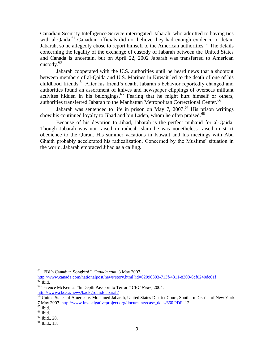Canadian Security Intelligence Service interrogated Jabarah, who admitted to having ties with al-Qaida.<sup>61</sup> Canadian officials did not believe they had enough evidence to detain Jabarah, so he allegedly chose to report himself to the American authorities.<sup>62</sup> The details concerning the legality of the exchange of custody of Jabarah between the United States and Canada is uncertain, but on April 22, 2002 Jabarah was transferred to American custody. $63$ 

Jabarah cooperated with the U.S. authorities until he heard news that a shootout between members of al-Qaida and U.S. Marines in Kuwait led to the death of one of his childhood friends.<sup>64</sup> After his friend's death, Jabarah's behavior reportedly changed and authorities found an assortment of knives and newspaper clippings of overseas militant activites hidden in his belongings.<sup>65</sup> Fearing that he might hurt himself or others, authorities transferred Jabarah to the Manhattan Metropolitan Correctional Center.<sup>66</sup>

Jabarah was sentenced to life in prison on May 7, 2007.<sup>67</sup> His prison writings show his continued loyalty to Jihad and bin Laden, whom he often praised.<sup>68</sup>

Because of his devotion to Jihad, Jabarah is the perfect muhajid for al-Qaida. Though Jabarah was not raised in radical Islam he was nonetheless raised in strict obedience to the Quran. His summer vacations in Kuwait and his meetings with Abu Ghaith probably accelerated his radicalization. Concerned by the Muslims' situation in the world, Jabarah embraced Jihad as a calling.

l

<sup>61</sup> "FBI's Canadian Songbird." *Canada.com*. 3 May 2007.

<http://www.canada.com/nationalpost/news/story.html?id=62096303-713f-4311-8309-6cf0240dc01f>  $62$  Ibid.

<sup>63</sup> Terence McKenna, "In Depth Passport to Terror," CBC *News*, 2004. <http://www.cbc.ca/news/background/jabarah/>

<sup>&</sup>lt;sup>64</sup> United States of America v. Mohamed Jabarah, United States District Court, Southern District of New York. 7 May 2007. [http://www.investigativeproject.org/documents/case\\_docs/660.PDF.](http://www.investigativeproject.org/documents/case_docs/660.PDF) 12.

 $^{65}$  Ibid.

 $66$  Ibid.

<sup>67</sup> Ibid., 28.

<sup>68</sup> Ibid., 13.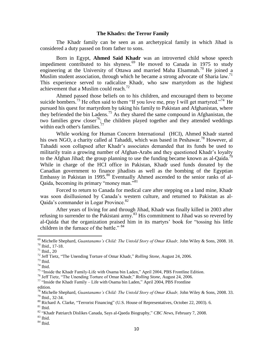#### **The Khadrs: the Terror Family**

The Khadr family can be seen as an archetypical family in which Jihad is considered a duty passed on from father to sons.

Born in Egypt, **Ahmed Said Khadr** was an introverted child whose speech impediment contributed to his shyness.<sup>69</sup> He moved to Canada in 1975 to study engineering at the University of Ottawa and married Maha Elsamnah.<sup>70</sup> He joined a Muslim student association, through which he became a strong advocate of Sharia law.<sup>71</sup> This experience served to radicalize Khadr, who saw martyrdom as the highest achievement that a Muslim could reach.<sup>72</sup>

Ahmed passed those beliefs on to his children, and encouraged them to become suicide bombers.<sup>73</sup> He often said to them "If you love me, pray I will get martyred."<sup>74</sup> He pursued his quest for martyrdom by taking his family to Pakistan and Afghanistan, where they befriended the bin Ladens.<sup>75</sup> As they shared the same compound in Afghanistan, the two families grew closer<sup>76</sup>; the children played together and they attended weddings within each other's families. $^{77}$ 

While working for Human Concern International (HCI), Ahmed Khadr started his own NGO, a charity called al Tahaddi, which was based in Peshawar.<sup>78</sup> However, al Tahaddi soon collapsed after Khadr's associates demanded that its funds be used to militarily train a growing number of Afghan-Arabs and they questioned Khadr's loyalty to the Afghan Jihad; the group planning to use the funding became known as al-Qaida.<sup>79</sup> While in charge of the HCI office in Pakistan, Khadr used funds donated by the Canadian government to finance jihadists as well as the bombing of the Egyptian Embassy in Pakistan in 1995.<sup>80</sup> Eventually Ahmed ascended to the senior ranks of al-Qaida, becoming its primary "money man."<sup>81</sup>

Forced to return to Canada for medical care after stepping on a land mine, Khadr was soon disillusioned by Canada's western culture, and returned to Pakistan as al-Oaida's commander in Logar Province.<sup>82</sup>

After years of living for and through Jihad, Khadr was finally killed in 2003 after refusing to surrender to the Pakistani army.<sup>83</sup> His commitment to Jihad was so revered by al-Qaida that the organization praised him in its martyrs' book for "tossing his little children in the furnace of the battle." <sup>84</sup>

 $\overline{\phantom{a}}$ 

 $84$  Ibid.

<sup>69</sup> Michelle Shephard, *Guantanamo's Child: The Untold Story of Omar Khadr,* John Wiley & Sons, 2008. 18. <sup>70</sup> Ibid., 17-18.

 $71$  Ibid., 20

<sup>72</sup> Jeff Tietz, "The Unending Torture of Omar Khadr," *Rolling Stone*, August 24, 2006.

 $73$  Ibid.

 $74$  Ibid.

<sup>&</sup>lt;sup>75</sup> "Inside the Khadr Family-Life with Osama bin Laden," April 2004, PBS Frontline Edition.

<sup>76</sup> Jeff Tietz, "The Unending Torture of Omar Khadr," *Rolling Stone,* August 24, 2006.

<sup>77</sup> "Inside the Khadr Family – Life with Osama bin Laden," April 2004, PBS Frontline edition.

<sup>78</sup> Michelle Shephard, *Guantanamo's Child: The Untold Story of Omar Khadr,* John Wiley & Sons, 2008. 33. <sup>79</sup> Ibid., 32-34.

<sup>80</sup> Richard A. Clarke, "Terrorist Financing" (U.S. House of Representatives, October 22, 2003). 6.  $81$  Ibid.

<sup>82</sup> "Khadr Patriarch Dislikes Canada, Says al-Qaeda Biography," *CBC News*, February 7, 2008.

 $^{83}$  Ibid.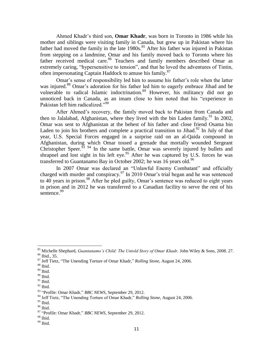Ahmed Khadr's third son, **Omar Khadr**, was born in Toronto in 1986 while his mother and siblings were visiting family in Canada, but grew up in Pakistan where his father had moved the family in the late 1980s.<sup>85</sup> After his father was injured in Pakistan from stepping on a landmine, Omar and his family moved back to Toronto where his father received medical care.<sup>86</sup> Teachers and family members described Omar as extremely caring, "hypersensitive to tension", and that he loved the adventures of Tintin, often impersonating Captain Haddock to amuse his family.<sup>87</sup>

Omar's sense of responsibility led him to assume his father's role when the latter was injured.<sup>88</sup> Omar's adoration for his father led him to eagerly embrace Jihad and be vulnerable to radical Islamic indoctrination.<sup>89</sup> However, his militancy did not go unnoticed back in Canada, as an imam close to him noted that his "experience in Pakistan left him radicalized."<sup>90</sup>

After Ahmed's recovery, the family moved back to Pakistan from Canada and then to Jalalabad, Afghanistan, where they lived with the bin Laden family.<sup>91</sup> In 2002, Omar was sent to Afghanistan at the behest of his father and close friend Osama bin Laden to join his brothers and complete a practical transition to Jihad.<sup>92</sup> In July of that year, U.S. Special Forces engaged in a surprise raid on an al-Qaida compound in Afghanistan, during which Omar tossed a grenade that mortally wounded Sergeant Christopher Speer.<sup>93</sup> <sup>94</sup> In the same battle, Omar was severely injured by bullets and shrapnel and lost sight in his left eye.<sup>95</sup> After he was captured by U.S. forces he was transferred to Guantanamo Bay in October 2002; he was 16 years old.<sup>96</sup>

In 2007 Omar was declared an "Unlawful Enemy Combatant" and officially charged with murder and conspiracy.<sup>97</sup> In 2010 Omar's trial began and he was sentenced to  $40$  years in prison.<sup>98</sup> After he pled guilty, Omar's sentence was reduced to eight years in prison and in 2012 he was transferred to a Canadian facility to serve the rest of his sentence.<sup>99</sup>

<sup>85</sup> Michelle Shephard, *Guantanamo's Child: The Untold Story of Omar Khadr,* John Wiley & Sons, 2008. 27.

<sup>86</sup> Ibid., 35.

<sup>87</sup> Jeff Tietz, "The Unending Torture of Omar Khadr," *Rolling Stone*, August 24, 2006.

 $^{\,88}$  Ibid.

 $89$  Ibid.

 $90$  Ibid.

 $91$  Ibid.

 $^{92}$  Ibid.

<sup>93</sup> "Profile: Omar Khadr," *BBC NEWS*, September 29, 2012.

<sup>94</sup> Jeff Tietz, "The Unending Torture of Omar Khadr," *Rolling Stone,* August 24, 2006.

<sup>95</sup> Ibid.

<sup>96</sup> Ibid.

<sup>97</sup> "Profile: Omar Khadr," *BBC NEWS*, September 29, 2012.

 $^{\rm 98}$  Ibid.

 $99$  Ibid.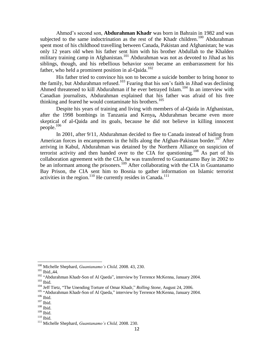Ahmed's second son, **Abdurahman Khadr** was born in Bahrain in 1982 and was subjected to the same indoctrination as the rest of the Khadr children.<sup>100</sup> Abdurahman spent most of his childhood travelling between Canada, Pakistan and Afghanistan; he was only 12 years old when his father sent him with his brother Abdullah to the Khalden military training camp in Afghanistan.<sup>101</sup> Abdurahman was not as devoted to Jihad as his siblings, though, and his rebellious behavior soon became an embarrassment for his father, who held a prominent position in al-Qaida.<sup>102</sup>

His father tried to convince his son to become a suicide bomber to bring honor to the family, but Abdurahman refused.<sup>103</sup> Fearing that his son's faith in Jihad was declining Ahmed threatened to kill Abdurahman if he ever betrayed Islam.<sup>104</sup> In an interview with Canadian journalists, Abdurahman explained that his father was afraid of his free thinking and feared he would contaminate his brothers.<sup>105</sup>

Despite his years of training and living with members of al-Qaida in Afghanistan, after the 1998 bombings in Tanzania and Kenya**,** Abdurahman became even more skeptical of al-Qaida and its goals, because he did not believe in killing innocent people.<sup>106</sup>

In 2001, after 9/11, Abdurahman decided to flee to Canada instead of hiding from American forces in encampments in the hills along the Afghan-Pakistan border.<sup>107</sup> After arriving in Kabul, Abdurahman was detained by the Northern Alliance on suspicion of terrorist activity and then handed over to the CIA for questioning.<sup>108</sup> As part of his collaboration agreement with the CIA, he was transferred to Guantanamo Bay in 2002 to be an informant among the prisoners.<sup>109</sup> After collaborating with the CIA in Guantanamo Bay Prison, the CIA sent him to Bosnia to gather information on Islamic terrorist activities in the region.<sup>110</sup> He currently resides in Canada.<sup>111</sup>

<sup>100</sup> Michelle Shephard, *Guantanamo's Child,* 2008. 43, 230.

<sup>101</sup> Ibid.,44.

<sup>&</sup>lt;sup>102</sup> "Abdurahman Khadr-Son of Al Qaeda", interview by Terrence McKenna, January 2004.  $103$  Ibid.

<sup>104</sup> Jeff Tietz, "The Unending Torture of Omar Khadr," *Rolling Stone*, August 24, 2006.

<sup>&</sup>lt;sup>105</sup> "Abdurahman Khadr-Son of Al Qaeda," interview by Terrence McKenna, January 2004.

<sup>106</sup> Ibid.

<sup>107</sup> Ibid.

 $^{108}$  Ibid.

<sup>109</sup> Ibid.

<sup>110</sup> Ibid.

<sup>111</sup> Michelle Shephard, *Guantanamo's Child,* 2008. 230.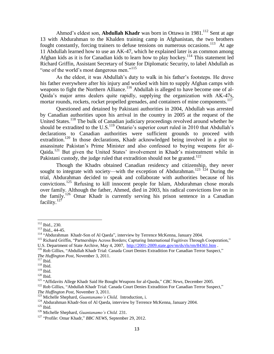Ahmed's eldest son, **Abdullah Khadr** was born in Ottawa in 1981.<sup>112</sup> Sent at age 13 with Abdurahman to the Khalden training camp in Afghanistan, the two brothers fought constantly, forcing trainers to defuse tensions on numerous occasions.<sup>113</sup> At age 11 Abdullah learned how to use an AK-47, which he explained later is as common among Afghan kids as it is for Canadian kids to learn how to play hockey.<sup>114</sup> This statement led Richard Griffin, Assistant Secretary of State for Diplomatic Security, to label Abdullah as "one of the world's most dangerous men."<sup>115</sup>

As the eldest, it was Abdullah's duty to walk in his father's footsteps. He drove his father everywhere after his injury and worked with him to supply Afghan camps with weapons to fight the Northern Alliance.<sup>116</sup> Abdullah is alleged to have become one of al-Qaida's major arms dealers quite rapidly, supplying the organization with AK-47s, mortar rounds, rockets, rocket propelled grenades, and containers of mine components.<sup>117</sup>

Questioned and detained by Pakistani authorities in 2004, Abdullah was arrested by Canadian authorities upon his arrival in the country in 2005 at the request of the United States.<sup>118</sup> The bulk of Canadian judiciary proceedings revolved around whether he should be extradited to the U.S.<sup>119</sup> Ontario's superior court ruled in 2010 that Abdullah's declarations to Canadian authorities were sufficient grounds to proceed with extradition.<sup>120</sup> In those declarations, Khadr acknowledged being involved in a plot to assassinate Pakistan's Prime Minister and also confessed to buying weapons for al-Qaida.<sup>121</sup> But given the United States' involvement in Khadr's mistreatment while in Pakistani custody, the judge ruled that extradition should not be granted.<sup>122</sup>

Though the Khadrs obtained Canadian residency and citizenship, they never sought to integrate with society—with the exception of Abdurahman.<sup>123 124</sup> During the trial, Abdurahman decided to speak and collaborate with authorities because of his convictions.<sup>125</sup> Refusing to kill innocent people for Islam, Abdurahman chose morals over family. Although the father, Ahmed, died in 2003, his radical convictions live on in the family.<sup>126</sup> Omar Khadr is currently serving his prison sentence in a Canadian facility.<sup>127</sup>

 $112$  Ibid., 230.

<sup>113</sup> Ibid., 44-45.

<sup>&</sup>lt;sup>114</sup> "Abdurahman Khadr-Son of Al Qaeda", interview by Terrence McKenna, January 2004.

<sup>&</sup>lt;sup>115</sup> Richard Griffin, "Partnerships Across Borders; Capturing International Fugitives Through Cooperation," U.S. Department of State Archive, May 4, 2007, <http://2001-2009.state.gov/m/ds/rls/rm/84361.htm> .

<sup>116</sup> Rob Gillies, "Abdullah Khadr Trial: Canada Court Denies Extradition For Canadian Terror Suspect," *The Huffington Post*, November 3, 2011.

 $117$  Ibid.

<sup>118</sup> Ibid.

<sup>119</sup> Ibid.  $^{120}$  Ibid.

<sup>121</sup> "Affidavits Allege Khadr Said He Bought Weapons for al-Qaeda," *CBC News*, December 2005.

<sup>&</sup>lt;sup>122</sup> Rob Gillies, "Abdullah Khadr Trial: Canada Court Denies Extradition For Canadian Terror Suspect." *The Huffington Post*, November 3, 2011.

<sup>123</sup> Michelle Shephard, *Guantanamo's Child,* Introduction, i.

<sup>&</sup>lt;sup>124</sup> Abdurahman Khadr-Son of Al Qaeda, interview by Terrence McKenna, January 2004.

 $125$  Ibid.

<sup>126</sup> Michelle Shephard, *Guantanamo's Child.* 231.

<sup>127</sup> "Profile: Omar Khadr," *BBC NEWS*, September 29, 2012.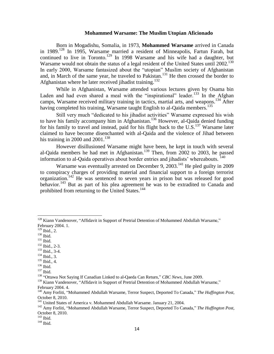#### **Mohammed Warsame: The Muslim Utopian Aficionado**

Born in Mogadishu, Som[alia](#page-13-0), in 1973, **Mohammed Warsame** arrived in Canada in 1989.<sup>128</sup> In 1995, Warsame married a resident of Minneapolis, Fartun Farah, but continued to live in Toronto.<sup>129</sup> In 1998 Warsame and his wife had a daughter, but Warsame would not obtain the status of a legal resident of the United States until 2002.<sup>130</sup> In early 2000, Warsame fantasized about the "utopian" Muslim society of Afghanistan and, in March of the same year, he traveled to Pakistan.<sup>131</sup> He then crossed the border to Afghanistan where he later received jihadist training.<sup>132</sup>

While in Afghanistan, Warsame attended various lectures given by Osama bin Laden and had even shared a meal with the "inspirational" leader.<sup>133</sup> In the Afghan camps, Warsame received military training in tactics, martial arts, and weapons.<sup>134</sup> After having completed his training, Warsame taught English to al-Qaida members.<sup>135</sup>

Still very much "dedicated to his jihadist activities" Warsame expressed his wish to have his family accompany him in Afghanistan.<sup>136</sup> However, al-Qaida denied funding for his family to travel and instead, paid for his flight back to the  $U.S.$ <sup>137</sup> Warsame later claimed to have become disenchanted with al-Qaida and the violence of Jihad between his training in 2000 and  $2001$ .<sup>138</sup>

However disillusioned Warsame might have been, he kept in touch with several al-Qaida members he had met in Afghanistan.<sup>139</sup> Then, from 2002 to 2003, he passed information to al-Qaida operatives about border entries and jihadists' whereabouts.<sup>140</sup>

Warsame was eventually arrested on December 9, 2003.<sup>141</sup> He pled guilty in 2009 to conspiracy charges of providing material and financial support to a foreign terrorist organization.<sup>142</sup> He was sentenced to seven years in prison but was released for good behavior.<sup>143</sup> But as part of his plea agree[ment](#page-13-0) he was to be extradited to Canada and prohibited from returning to the United States.<sup>144</sup>

 $129$  Ibid., 2.

<span id="page-13-0"></span> $\overline{\phantom{a}}$ 

<sup>131</sup> Ibid.

- <sup>132</sup> Ibid., 2-3.
- $133$  Ibid., 3-4.
- $134$  Ibid., 3.
- $135$  Ibid., 4.
- <sup>136</sup> Ibid.
- <sup>137</sup> Ibid.

 $128$  Kiann Vandenover, "Affidavit in Support of Pretrial Detention of Mohammed Abdullah Warsame," February 2004. 1.

 $^{130}$  Ibid.

<sup>138</sup> "Ottawa Not Saying If Canadian Linked to al-Qaeda Can Return," *CBC News*, June 2009.

<sup>&</sup>lt;sup>139</sup> Kiann Vandenover, "Affidavit in Support of Pretrial Detention of Mohammed Abdullah Warsame," February 2004. 4.

<sup>140</sup> Amy Forliti, "Mohammed Abdullah Warsame, Terror Suspect, Deported To Canada," *The Huffington Post*, October 8, 2010.

<sup>&</sup>lt;sup>141</sup> United States of America v. Mohammed Abdullah Warsame. January 21, 2004.

<sup>142</sup> Amy Forliti, "Mohammed Abdullah Warsame, Terror Suspect, Deported To Canada," *The Huffington Post*, October 8, 2010.

<sup>143</sup> Ibid.

<sup>&</sup>lt;sup>144</sup> Ibid.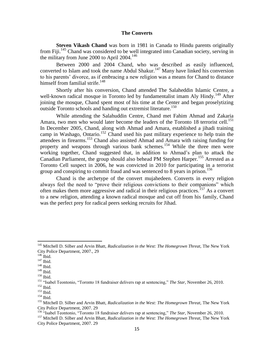#### **The Converts**

**Steven Vikash Chand** was born in 1981 in Canada to Hindu parents originally from Fiji.<sup>145</sup> Chand was considered to be well integrated into Canadian society, serving in the military from June 2000 to April 2004.<sup>146</sup>

Between 2000 and 2004 Chand, who was described as easily influenced, converted to Islam and took the name Abdul Shakur.<sup>147</sup> Many have linked his conversion to his parents' divorce, as if embracing a new religion was a means for Chand to distance himself from familial strife.<sup>148</sup>

Shortly after his conversion, Chand attended The Salaheddin Islamic Centre, a well-known radical mosque in Toronto led by fundamentalist imam Aly Hindy.<sup>149</sup> After joining the mosque, Chand spent most of his time at the Center and began proselytizing outside Toronto schools and handing out extremist literature.<sup>150</sup>

While attending the Salahuddin Centre, Chand met Fahim Ahmad and Zakaria Amara, two men who would later become the leaders of the Toronto 18 terrorist cell.<sup>151</sup> In December 2005, Chand, along with Ahmad and Amara, established a jihadi training camp in Washago, Ontario.<sup>152</sup> Chand used his past military experience to help train the attendees in firearms.<sup>153</sup> Chand also assisted Ahmad and Amara with raising funding for property and weapons through various bank schemes.<sup>154</sup> While the three men were working together, Chand suggested that, in addition to Ahmad's plan to attack the Canadian Parliament, the group should also behead PM Stephen Harper.<sup>155</sup> Arrested as a Toronto Cell suspect in 2006, he was convicted in 2010 for participating in a terrorist group and conspiring to commit fraud and was sentenced to 8 years in prison.<sup>156</sup>

Chand is the archetype of the convert mujahedeen. Converts in every religion always feel the need to "prove their religious convictions to their companions" which often makes them more aggressive and radical in their religious practices.<sup>157</sup> As a convert to a new religion, attending a known radical mosque and cut off from his family, Chand was the perfect prey for radical peers seeking recruits for Jihad.

<sup>&</sup>lt;sup>145</sup> Mitchell D. Silber and Arvin Bhatt, *Radicalization in the West: The Homegrown Threat*, The New York City Police Department, 2007., 29

 $146$  Ibid.

 $147$  Ibid.

 $148$  Ibid.

<sup>149</sup> Ibid.

 $^{150}$  Ibid.

<sup>151</sup> "Isabel Teontonio, "Toronto 18 fundraiser delivers rap at sentencing," *The Star,* November 26, 2010.  $^{152}$  Ibid.

<sup>153</sup> Ibid.

 $154$  Ibid.

<sup>&</sup>lt;sup>155</sup> Mitchell D. Silber and Arvin Bhatt, *Radicalization in the West: The Homegrown Threat*, The New York City Police Department, 2007. 29

<sup>&</sup>lt;sup>156</sup> "Isabel Teontonio, "Toronto 18 fundraiser delivers rap at sentencing," *The Star*, November 26, 2010.

<sup>&</sup>lt;sup>157</sup> Mitchell D. Silber and Arvin Bhatt, *Radicalization in the West: The Homegrown Threat*, The New York City Police Department, 2007. 29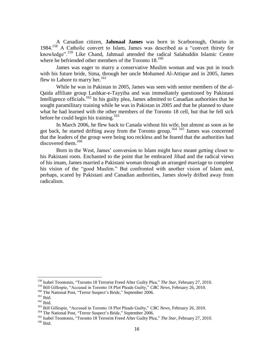A Canadian citizen, **Jahmaal James** was born in Scarborough, Ontario in 1984.<sup>158</sup> A Catholic convert to Islam, James was described as a "convert thirsty for knowledge".<sup>159</sup> Like Chand, Jahmaal attended the radical Salahuddin Islamic Centre where he befriended other members of the Toronto 18.<sup>160</sup>

James was eager to marry a conservative Muslim woman and was put in touch with his future bride, Sima, through her uncle Mohamed Al-Attique and in 2005, James flew to Lahore to marry her. $161$ 

While he was in Pakistan in 2005, James was seen with senior members of the al-Qaida affiliate group Lashkar-e-Tayyiba and was immediately questioned by Pakistani Intelligence officials.<sup>162</sup> In his guilty plea, James admitted to Canadian authorities that he sought paramilitary training while he was in Pakistan in 2005 and that he planned to share what he had learned with the other members of the Toronto 18 cell, but that he fell sick before he could begin his training.<sup>163</sup>

In March 2006, he flew back to Canada without his wife, but almost as soon as he got back, he started drifting away from the Toronto group.<sup>164</sup> <sup>165</sup> James was concerned that the leaders of the group were being too reckless and he feared that the authorities had discovered them.<sup>166</sup>

Born in the West, James' conversion to Islam might have meant getting closer to his Pakistani roots. Enchanted to the point that he embraced Jihad and the radical views of his imam, James married a Pakistani woman through an arranged marriage to complete his vision of the "good Muslim." But confronted with another vision of Islam and, perhaps, scared by Pakistani and Canadian authorities, James slowly drifted away from radicalism.

<sup>158</sup> Isabel Teontonio, "Toronto 18 Terrorist Freed After Guilty Plea," *The Star*, February 27, 2010.

<sup>159</sup> Bill Gillespie, "Accused in Toronto 18 Plot Pleads Guilty," *CBC News*, February 26, 2010.

<sup>&</sup>lt;sup>160</sup> The National Post, "Terror Suspect's Bride," September 2006.

 $161$  Ibid.

<sup>162</sup> Ibid.

<sup>163</sup> Bill Gillespie, "Accused in Toronto 18 Plot Pleads Guilty," *CBC News*, February 26, 2010.

<sup>&</sup>lt;sup>164</sup> The National Post, "Terror Suspect's Bride," September 2006.

<sup>&</sup>lt;sup>165</sup> Isabel Teontonio, "Toronto 18 Terrorist Freed After Guilty Plea," *The Star*, February 27, 2010.  $166$  Ibid.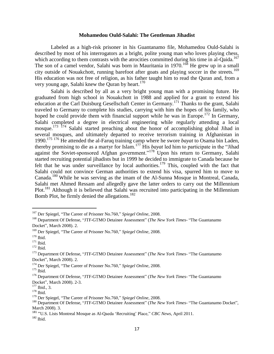#### **Mohamedou Ould-Salahi: The Gentleman Jihadist**

Labeled as a high-risk prisoner in his Guantanamo file, Mohamedou Ould-Salahi is described by most of his interrogators as a bright, polite young man who loves playing chess, which according to them contrasts with the atrocities committed during his time in al-Qaida.<sup>[167](#page-17-0)</sup> The son of a camel vendor, Salahi was born in Mauritania in  $1970$ <sup>168</sup> He grew up in a small city outside of Nouakchott, running barefoot after goats and playing soccer in the streets.<sup>169</sup> His education was not free of religion, as his father taught him to read the Quran and, from a very young age, Salahi knew the Quran by heart. $170$ 

Salahi is described by all as a very bright young man with a promising future. He graduated from high school in Nouakchott in 1988 and applied for a grant to extend his education at the Carl Duisburg Gesellschaft Center in Germany.<sup>171</sup> Thanks to the grant, Salahi traveled to Germany to complete his studies, carrying with him the hopes of his family, who hoped he could provide them with financial support while he was in Europe.<sup>172</sup> In Germany, Salahi completed a degree in electrical engineering while regularly attending a local mosque.<sup>173 174</sup> Salahi started preaching about the honor of accomplishing global Jihad in several mosques, and ultimately departed to receive terrorism training in Afghanistan in 1990.<sup>175</sup> <sup>176</sup> He attended the al-Faruq training camp where he swore *bayat* to Osama bin Laden, thereby promising to die as a martyr for Islam.<sup>177</sup> His *bayat* led him to participate in the "Jihad against the Soviet-sponsored Afghan government."<sup>178</sup> Upon his return to Germany, Salahi started recruiting potential jihadists but in 1999 he decided to immigrate to Canada because he felt that he was under surveillance by local authorities.<sup>179</sup> This, coupled with the fact that Salahi could not convince German authorities to extend his visa, spurred him to move to Canada.<sup>180</sup> While he was serving as the imam of the Al-Sunna Mosque in Montreal, Canada, Salahi met Ahmed Ressam and allegedly gave the latter orders to carry out the Millennium Plot.<sup>181</sup> Although it is believed that Salahi was recruited into participating in the Millennium Bomb Plot, he firmly denied the allegations.<sup>182</sup>

<sup>167</sup> Der Spiegel, "The Career of Prisoner No.760," *Spiegel Online*, 2008.

<sup>168</sup> Department Of Defense, "JTF-GTMO Detainee Assessment" (*The New York Times*- "The Guantanamo Docket", March 2008). 2.

<sup>169</sup> Der Spiegel, "The Career of Prisoner No.760," *Spiegel Online*, 2008.

 $170$  Ibid.

<sup>&</sup>lt;sup>171</sup> Ibid.

<sup>&</sup>lt;sup>172</sup> Ibid.

<sup>173</sup> Department Of Defense, "JTF-GTMO Detainee Assessment" (*The New York Times*- "The Guantanamo Docket", March 2008). 2.

<sup>174</sup> Der Spiegel, "The Career of Prisoner No.760," *Spiegel Online*, 2008.

<sup>&</sup>lt;sup>175</sup> Ibid.

<sup>176</sup> Department Of Defense, "JTF-GTMO Detainee Assessment" (*The New York Times*- "The Guantanamo Docket", March 2008). 2-3.

 $177$  Ibid., 3.

 $^{178}$  Ibid.

<sup>179</sup> Der Spiegel, "The Career of Prisoner No.760," *Spiegel Online*, 2008.

<sup>180</sup> Department Of Defense, "JTF-GTMO Detainee Assessment" (*The New York Times*- "The Guantanamo Docket", March 2008). 3.

<sup>181</sup> "U.S. Lists Montreal Mosque as Al-Qaeda 'Recruiting' Place," *CBC News*, April 2011.

 $182$  Ibid.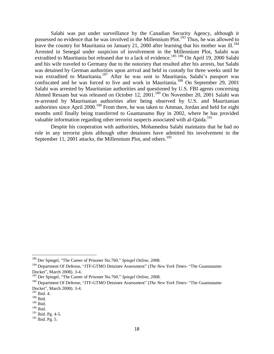Salahi was put under surveillance by the Canadian Security Agency, although it possessed no evidence that he was involved in the Millennium Plot.<sup>183</sup> Thus, he was allowed to leave the country for Mauritania on January 21, 2000 after learning that his mother was ill.<sup>184</sup> Arrested in Senegal under suspicion of involvement in the Millennium Plot, Salahi was extradited to Mauritania but released due to a lack of evidence.<sup>185 186</sup> On April 19, 2000 Salahi and his wife traveled to Germany due to the notoriety that resulted after his arrests, but Salahi was detained by German authorities upon arrival and held in custody for three weeks until he was extradited to Mauritania.<sup>187</sup> After he was sent to Mauritania, Salahi's passport was confiscated and he was forced to live and work in Mauritania.<sup>188</sup> On September 29, 2001 Salahi was arrested by Mauritanian authorities and questioned by U.S. FBI agents concerning Ahmed Ressam but was released on October 12, 2001.<sup>189</sup> On November 20, 2001 Salahi was re-arrested by Mauritanian authorities after being observed by U.S. and Mauritanian authorities since April 2000.<sup>190</sup> From there, he was taken to Amman, Jordan and held for eight months until finally being transferred to Guantanamo Bay in 2002, where he has provided valuable information regarding other terrorist suspects associated with al-Qaida.<sup>191</sup>

<span id="page-17-0"></span>Despite his cooperation with authorities, Mohamedou Salahi maintains that he had no role in any terrorist plots although other detainees have admitted his involvement in the September 11, 2001 attacks, the Millennium Plot, and others.<sup>192</sup>

<sup>183</sup> Der Spiegel, "The Career of Prisoner No.760," *Spiegel Online*, 2008.

<sup>184</sup> Department Of Defense, "JTF-GTMO Detainee Assessment" (*The New York Times*- "The Guantanamo Docket", March 2008). 3-4.

<sup>185</sup> Der Spiegel, "The Career of Prisoner No.760," *Spiegel Online*, 2008.

<sup>186</sup> Department Of Defense, "JTF-GTMO Detainee Assessment" (*The New York Times*- "The Guantanamo Docket", March 2008). 3-4.

<sup>187</sup> Ibid. 4.

 $188$  Ibid.

<sup>189</sup> Ibid.

<sup>190</sup> Ibid.

<sup>&</sup>lt;sup>191</sup> Ibid. Pg. 4-5.

 $192$  Ibid. Pg. 5.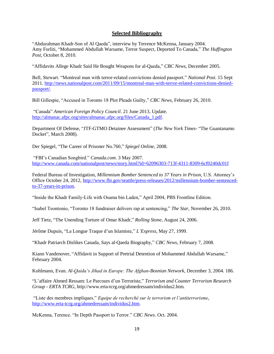#### **Selected Bibliography**

"Abdurahman Khadr-Son of Al Qaeda", interview by Terrence McKenna, January 2004. Amy Forliti, "Mohammed Abdullah Warsame, Terror Suspect, Deported To Canada," *The Huffington Post*, October 8, 2010.

"Affidavits Allege Khadr Said He Bought Weapons for al-Qaeda," *CBC News*, December 2005.

Bell, Stewart. "Montreal man with terror-related convictions denied passport." *National Post*. 15 Sept 2011. [http://news.nationalpost.com/2011/09/15/montreal-man-with-terror-related-convictions-denied](http://news.nationalpost.com/2011/09/15/montreal-man-with-terror-related-convictions-denied-passport/)[passport/.](http://news.nationalpost.com/2011/09/15/montreal-man-with-terror-related-convictions-denied-passport/)

Bill Gillespie, "Accused in Toronto 18 Plot Pleads Guilty," *CBC News*, February 26, 2010.

"Canada" *American Foreign Policy Council*. 21 June 2013, Update. [http://almanac.afpc.org/sites/almanac.afpc.org/files/Canada\\_1.pdf.](http://almanac.afpc.org/sites/almanac.afpc.org/files/Canada_1.pdf)

Department Of Defense, "JTF-GTMO Detainee Assessment" (*The New York Times*- "The Guantanamo Docket", March 2008).

Der Spiegel, "The Career of Prisoner No.760," *Spiegel Online*, 2008.

"FBI's Canadian Songbird." *Canada.com*. 3 May 2007. <http://www.canada.com/nationalpost/news/story.html?id=62096303-713f-4311-8309-6cf0240dc01f>

Federal Bureau of Investigation, *Millennium Bomber Sentenced to 37 Years in Prison,* U.S. Attorney's Office October 24, 2012, [http://www.fbi.gov/seattle/press-releases/2012/millennium-bomber-sentenced](http://www.fbi.gov/seattle/press-releases/2012/millennium-bomber-sentenced-to-37-years-in-prison)[to-37-years-in-prison.](http://www.fbi.gov/seattle/press-releases/2012/millennium-bomber-sentenced-to-37-years-in-prison)

"Inside the Khadr Family-Life with Osama bin Laden," April 2004, PBS Frontline Edition.

"Isabel Teontonio, "Toronto 18 fundraiser delivers rap at sentencing," *The Star,* November 26, 2010.

Jeff Tietz, "The Unending Torture of Omar Khadr," *Rolling Stone*, August 24, 2006.

Jérôme Dupuis, "La Longue Traque d'un Islamiste," *L'Express*, May 27, 1999.

"Khadr Patriarch Dislikes Canada, Says al-Qaeda Biography," *CBC News*, February 7, 2008.

Kiann Vandenover, "Affidavit in Support of Pretrial Detention of Mohammed Abdullah Warsame," February 2004.

Kohlmann, Evan. *Al-Qaida's Jihad in Europe: The Afghan-Bosnian Network,* December 3, 2004. 186.

"L'affaire Ahmed Ressam: Le Parcours d'un Terroriste," *Terrorism and Counter Terrorism Research Group - ERTA TCRG*[, http://www.erta-tcrg.org/ahmedressam/individus2.htm.](http://www.erta-tcrg.org/ahmedressam/individus2.htm)

"Liste des membres impliques." *Equipe de recherché sur le terrorism et l'antiterrorisme*, [http://www.erta-tcrg.org/ahmedressam/individus2.htm.](http://www.erta-tcrg.org/ahmedressam/individus2.htm)

McKenna, Terence. "In Depth Passport to Terror." *CBC News*. Oct. 2004.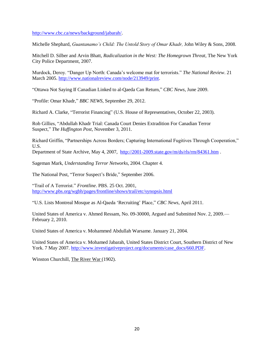[http://www.cbc.ca/news/background/jabarah/.](http://www.cbc.ca/news/background/jabarah/)

Michelle Shephard, *Guantanamo's Child: The Untold Story of Omar Khadr,* John Wiley & Sons, 2008.

Mitchell D. Silber and Arvin Bhatt, *Radicalization in the West: The Homegrown Threat,* The New York City Police Department, 2007.

Murdock, Deroy. "Danger Up North: Canada's welcome mat for terrorists." *The National Review*. 21 March 2005. [http://www.nationalreview.com/node/213949/print.](http://www.nationalreview.com/node/213949/print)

"Ottawa Not Saying If Canadian Linked to al-Qaeda Can Return," *CBC News*, June 2009.

"Profile: Omar Khadr," *BBC NEWS*, September 29, 2012.

Richard A. Clarke, "Terrorist Financing" (U.S. House of Representatives, October 22, 2003).

Rob Gillies, "Abdullah Khadr Trial: Canada Court Denies Extradition For Canadian Terror Suspect," *The Huffington Post*, November 3, 2011.

Richard Griffin, "Partnerships Across Borders; Capturing International Fugitives Through Cooperation," U.S.

Department of State Archive, May 4, 2007, <http://2001-2009.state.gov/m/ds/rls/rm/84361.htm> .

Sageman Mark, *Understanding Terror Networks*, 2004. Chapter 4.

The National Post, "Terror Suspect's Bride," September 2006.

"Trail of A Terrorist." *Frontline*. PBS. 25 Oct. 2001, <http://www.pbs.org/wgbh/pages/frontline/shows/trail/etc/synopsis.html>

"U.S. Lists Montreal Mosque as Al-Qaeda 'Recruiting' Place," *CBC News*, April 2011.

United States of America v. Ahmed Ressam, No. 09-30000, Argued and Submitted Nov. 2, 2009.— February 2, 2010.

United States of America v. Mohammed Abdullah Warsame. January 21, 2004.

United States of America v. Mohamed Jabarah, United States District Court, Southern District of New York. 7 May 2007. [http://www.investigativeproject.org/documents/case\\_docs/660.PDF.](http://www.investigativeproject.org/documents/case_docs/660.PDF)

Winston Churchill, The River War (1902).